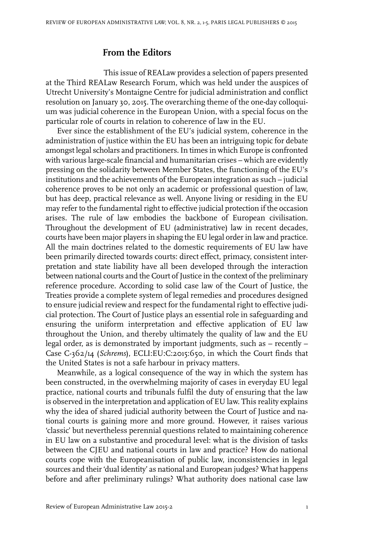## **From the Editors**

This issue of REALaw provides a selection of papers presented at the Third REALaw Research Forum, which was held under the auspices of Utrecht University's Montaigne Centre for judicial administration and conflict resolution on January 30, 2015. The overarching theme of the one-day colloquium was judicial coherence in the European Union, with a special focus on the particular role of courts in relation to coherence of law in the EU.

Ever since the establishment of the EU's judicial system, coherence in the administration of justice within the EU has been an intriguing topic for debate amongst legal scholars and practitioners.In times in which Europe is confronted with various large-scale financial and humanitarian crises – which are evidently pressing on the solidarity between Member States, the functioning of the EU's institutions and the achievements of the European integration as such – judicial coherence proves to be not only an academic or professional question of law, but has deep, practical relevance as well. Anyone living or residing in the EU may refer to the fundamental right to effective judicial protection if the occasion arises. The rule of law embodies the backbone of European civilisation. Throughout the development of EU (administrative) law in recent decades, courts have been major players in shaping the EU legal orderin law and practice. All the main doctrines related to the domestic requirements of EU law have been primarily directed towards courts: direct effect, primacy, consistent interpretation and state liability have all been developed through the interaction between national courts and the Court of Justice in the context of the preliminary reference procedure. According to solid case law of the Court of Justice, the Treaties provide a complete system of legal remedies and procedures designed to ensure judicial review and respect for the fundamental right to effective judicial protection. The Court of Justice plays an essential role in safeguarding and ensuring the uniform interpretation and effective application of EU law throughout the Union, and thereby ultimately the quality of law and the EU legal order, as is demonstrated by important judgments, such as – recently – Case C-362/14 (*Schrems*), ECLI:EU:C:2015:650, in which the Court finds that the United States is not a safe harbour in privacy matters.

Meanwhile, as a logical consequence of the way in which the system has been constructed, in the overwhelming majority of cases in everyday EU legal practice, national courts and tribunals fulfil the duty of ensuring that the law is observed in the interpretation and application of EU law. This reality explains why the idea of shared judicial authority between the Court of Justice and national courts is gaining more and more ground. However, it raises various 'classic' but nevertheless perennial questions related to maintaining coherence in EU law on a substantive and procedural level: what is the division of tasks between the CJEU and national courts in law and practice? How do national courts cope with the Europeanisation of public law, inconsistencies in legal sources and their'dual identity' as national and European judges? What happens before and after preliminary rulings? What authority does national case law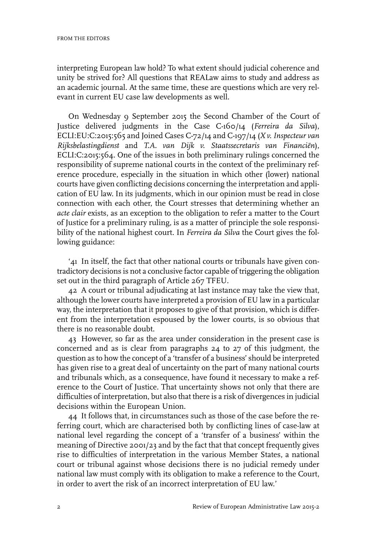interpreting European law hold? To what extent should judicial coherence and unity be strived for? All questions that REALaw aims to study and address as an academic journal. At the same time, these are questions which are very relevant in current EU case law developments as well.

On Wednesday 9 September 2015 the Second Chamber of the Court of Justice delivered judgments in the Case C-160/14 (*Ferreira da Silva*), ECLI:EU:C:2015:565 and Joined Cases C-72/14 and C-197/14 (*X v. Inspecteur van Rijksbelastingdienst* and *T.A. van Dijk v. Staatssecretaris van Financiën*), ECLI:C:2015:564. One of the issues in both preliminary rulings concerned the responsibility of supreme national courts in the context of the preliminary reference procedure, especially in the situation in which other (lower) national courts have given conflicting decisions concerning the interpretation and application of EU law. In its judgments, which in our opinion must be read in close connection with each other, the Court stresses that determining whether an *acte clair* exists, as an exception to the obligation to refer a matter to the Court of Justice for a preliminary ruling, is as a matter of principle the sole responsibility of the national highest court. In *Ferreira da Silva* the Court gives the following guidance:

'41 In itself, the fact that other national courts or tribunals have given contradictory decisions is not a conclusive factor capable of triggering the obligation set out in the third paragraph of Article 267 TFEU.

42 A court or tribunal adjudicating at last instance may take the view that, although the lower courts have interpreted a provision of EU law in a particular way, the interpretation that it proposes to give of that provision, which is different from the interpretation espoused by the lower courts, is so obvious that there is no reasonable doubt.

43 However, so far as the area under consideration in the present case is concerned and as is clear from paragraphs 24 to 27 of this judgment, the question as to how the concept of a 'transfer of a business' should be interpreted has given rise to a great deal of uncertainty on the part of many national courts and tribunals which, as a consequence, have found it necessary to make a reference to the Court of Justice. That uncertainty shows not only that there are difficulties of interpretation, but also that there is a risk of divergences in judicial decisions within the European Union.

44 It follows that, in circumstances such as those of the case before the referring court, which are characterised both by conflicting lines of case-law at national level regarding the concept of a 'transfer of a business' within the meaning of Directive 2001/23 and by the fact that that concept frequently gives rise to difficulties of interpretation in the various Member States, a national court or tribunal against whose decisions there is no judicial remedy under national law must comply with its obligation to make a reference to the Court, in order to avert the risk of an incorrect interpretation of EU law.'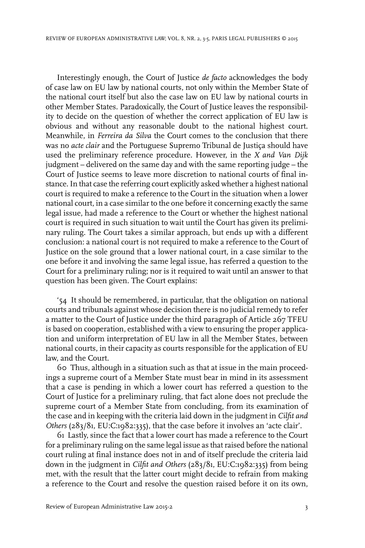Interestingly enough, the Court of Justice *de facto* acknowledges the body of case law on EU law by national courts, not only within the Member State of the national court itself but also the case law on EU law by national courts in other Member States. Paradoxically, the Court of Justice leaves the responsibility to decide on the question of whether the correct application of EU law is obvious and without any reasonable doubt to the national highest court. Meanwhile, in *Ferreira da Silva* the Court comes to the conclusion that there was no *acte clair* and the Portuguese Supremo Tribunal de Justiça should have used the preliminary reference procedure. However, in the *X and Van Dijk* judgment – delivered on the same day and with the same reporting judge – the Court of Justice seems to leave more discretion to national courts of final instance.In that case the referring court explicitly asked whether a highest national court is required to make a reference to the Court in the situation when a lower national court, in a case similar to the one before it concerning exactly the same legal issue, had made a reference to the Court or whether the highest national court is required in such situation to wait until the Court has given its preliminary ruling. The Court takes a similar approach, but ends up with a different conclusion: a national court is not required to make a reference to the Court of Justice on the sole ground that a lower national court, in a case similar to the one before it and involving the same legal issue, has referred a question to the Court for a preliminary ruling; nor is it required to wait until an answer to that question has been given. The Court explains:

'54 It should be remembered, in particular, that the obligation on national courts and tribunals against whose decision there is no judicial remedy to refer a matter to the Court of Justice under the third paragraph of Article 267 TFEU is based on cooperation, established with a view to ensuring the proper application and uniform interpretation of EU law in all the Member States, between national courts, in their capacity as courts responsible for the application of EU law, and the Court.

60 Thus, although in a situation such as that at issue in the main proceedings a supreme court of a Member State must bear in mind in its assessment that a case is pending in which a lower court has referred a question to the Court of Justice for a preliminary ruling, that fact alone does not preclude the supreme court of a Member State from concluding, from its examination of the case and in keeping with the criteria laid down in the judgment in *Cilfit and Others* (283/81, EU:C:1982:335), that the case before it involves an 'acte clair'.

61 Lastly, since the fact that a lower court has made a reference to the Court for a preliminary ruling on the same legal issue as that raised before the national court ruling at final instance does not in and of itself preclude the criteria laid down in the judgment in *Cilfit and Others* (283/81, EU:C:1982:335) from being met, with the result that the latter court might decide to refrain from making a reference to the Court and resolve the question raised before it on its own,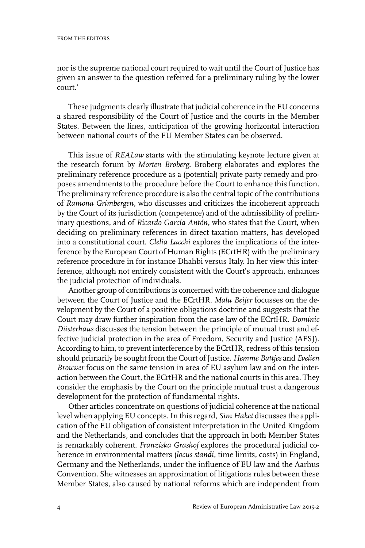nor is the supreme national court required to wait until the Court of Justice has given an answer to the question referred for a preliminary ruling by the lower court.'

These judgments clearly illustrate that judicial coherence in the EU concerns a shared responsibility of the Court of Justice and the courts in the Member States. Between the lines, anticipation of the growing horizontal interaction between national courts of the EU Member States can be observed.

This issue of *REALaw* starts with the stimulating keynote lecture given at the research forum by *Morten Broberg*. Broberg elaborates and explores the preliminary reference procedure as a (potential) private party remedy and proposes amendments to the procedure before the Court to enhance this function. The preliminary reference procedure is also the central topic of the contributions of *Ramona Grimbergen*, who discusses and criticizes the incoherent approach by the Court of its jurisdiction (competence) and of the admissibility of preliminary questions, and of *Ricardo García Antón*, who states that the Court, when deciding on preliminary references in direct taxation matters, has developed into a constitutional court. *Clelia Lacchi* explores the implications of the interference by the European Court of Human Rights (ECrtHR) with the preliminary reference procedure in for instance Dhahbi versus Italy. In her view this interference, although not entirely consistent with the Court's approach, enhances the judicial protection of individuals.

Another group of contributions is concerned with the coherence and dialogue between the Court of Justice and the ECrtHR. *Malu Beijer* focusses on the development by the Court of a positive obligations doctrine and suggests that the Court may draw further inspiration from the case law of the ECrtHR. *Dominic Düsterhaus* discusses the tension between the principle of mutual trust and effective judicial protection in the area of Freedom, Security and Justice (AFSJ). According to him, to prevent interference by the ECrtHR, redress of this tension should primarily be sought from the Court of Justice. *Hemme Battjes* and *Evelien Brouwer* focus on the same tension in area of EU asylum law and on the interaction between the Court, the ECrtHR and the national courts in this area. They consider the emphasis by the Court on the principle mutual trust a dangerous development for the protection of fundamental rights.

Other articles concentrate on questions of judicial coherence at the national level when applying EU concepts. In this regard, *Sim Haket* discusses the application of the EU obligation of consistent interpretation in the United Kingdom and the Netherlands, and concludes that the approach in both Member States is remarkably coherent. *Franziska Grashof* explores the procedural judicial coherence in environmental matters (*locus standi*, time limits, costs) in England, Germany and the Netherlands, under the influence of EU law and the Aarhus Convention. She witnesses an approximation of litigations rules between these Member States, also caused by national reforms which are independent from